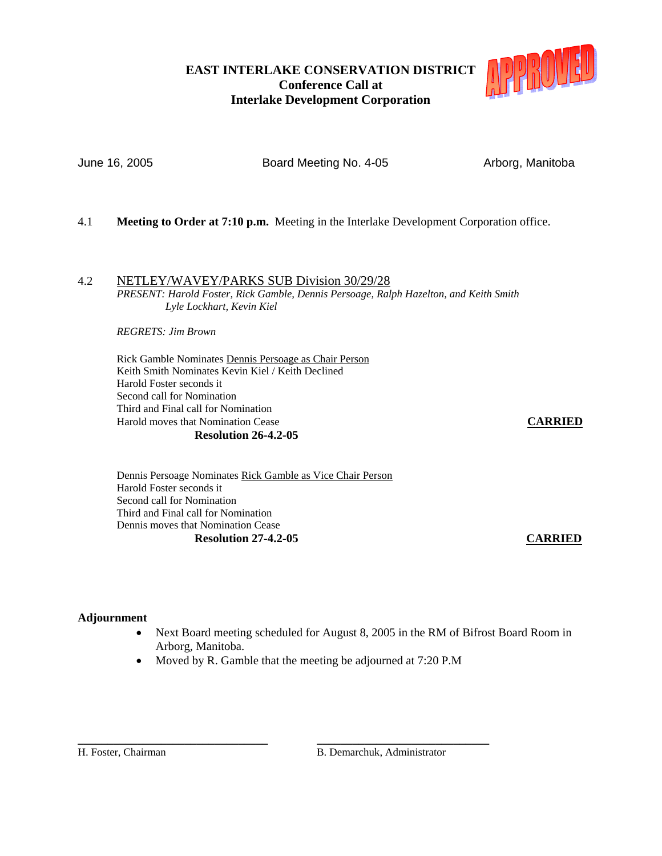# **EAST INTERLAKE CONSERVATION DISTRICT Conference Call at Interlake Development Corporation**



June 16, 2005 **Board Meeting No. 4-05** Arborg, Manitoba

- 4.1 **Meeting to Order at 7:10 p.m.** Meeting in the Interlake Development Corporation office.
- 4.2 NETLEY/WAVEY/PARKS SUB Division 30/29/28 *PRESENT: Harold Foster, Rick Gamble, Dennis Persoage, Ralph Hazelton, and Keith Smith Lyle Lockhart, Kevin Kiel*

*REGRETS: Jim Brown*

Rick Gamble Nominates Dennis Persoage as Chair Person Keith Smith Nominates Kevin Kiel / Keith Declined Harold Foster seconds it Second call for Nomination Third and Final call for Nomination Harold moves that Nomination Cease **CARRIED Resolution 26-4.2-05** 

Dennis Persoage Nominates Rick Gamble as Vice Chair Person Harold Foster seconds it Second call for Nomination Third and Final call for Nomination Dennis moves that Nomination Cease **Resolution 27-4.2-05 CARRIED**

# **Adjournment**

- Next Board meeting scheduled for August 8, 2005 in the RM of Bifrost Board Room in Arborg, Manitoba.
- Moved by R. Gamble that the meeting be adjourned at 7:20 P.M

**\_\_\_\_\_\_\_\_\_\_\_\_\_\_\_\_\_\_\_\_\_\_\_\_\_\_\_\_\_\_\_\_ \_\_\_\_\_\_\_\_\_\_\_\_\_\_\_\_\_\_\_\_\_\_\_\_\_\_\_\_\_** H. Foster, Chairman B. Demarchuk, Administrator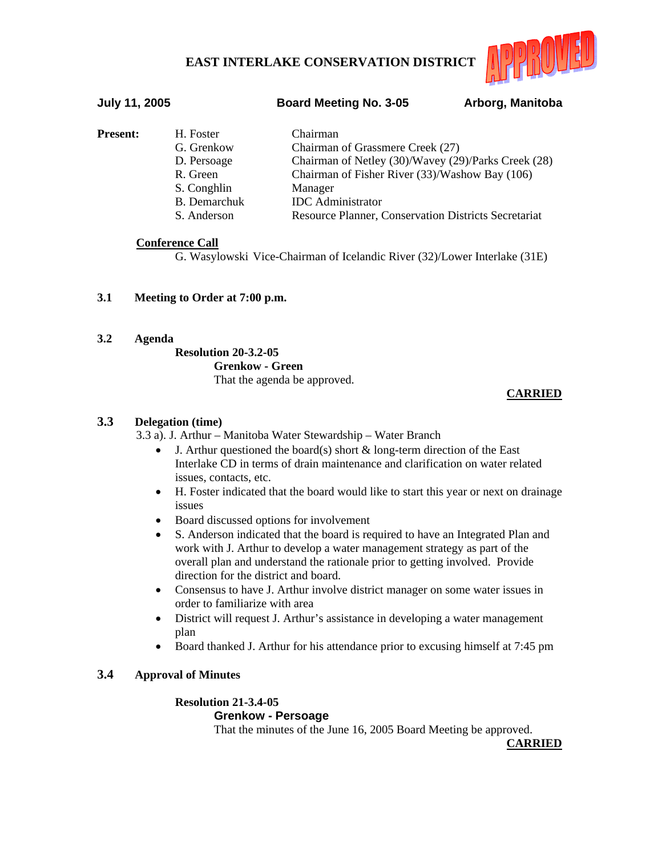

# **July 11, 2005 Board Meeting No. 3-05 Arborg, Manitoba**

| <b>Present:</b> | H. Foster<br>G. Grenkow<br>D. Persoage<br>R. Green<br>S. Conghlin<br><b>B.</b> Demarchuk | Chairman<br>Chairman of Grassmere Creek (27)<br>Chairman of Netley (30)/Wavey (29)/Parks Creek (28)<br>Chairman of Fisher River (33)/Washow Bay (106)<br>Manager<br><b>IDC</b> Administrator |
|-----------------|------------------------------------------------------------------------------------------|----------------------------------------------------------------------------------------------------------------------------------------------------------------------------------------------|
|                 | S. Anderson                                                                              | <b>Resource Planner, Conservation Districts Secretariat</b>                                                                                                                                  |

# **Conference Call**

G. Wasylowski Vice-Chairman of Icelandic River (32)/Lower Interlake (31E)

# **3.1 Meeting to Order at 7:00 p.m.**

# **3.2 Agenda**

 **Resolution 20-3.2-05 Grenkow - Green** That the agenda be approved.

# **CARRIED**

# **3.3 Delegation (time)**

3.3 a). J. Arthur – Manitoba Water Stewardship – Water Branch

- J. Arthur questioned the board(s) short  $&$  long-term direction of the East Interlake CD in terms of drain maintenance and clarification on water related issues, contacts, etc.
- H. Foster indicated that the board would like to start this year or next on drainage issues
- Board discussed options for involvement
- S. Anderson indicated that the board is required to have an Integrated Plan and work with J. Arthur to develop a water management strategy as part of the overall plan and understand the rationale prior to getting involved. Provide direction for the district and board.
- Consensus to have J. Arthur involve district manager on some water issues in order to familiarize with area
- District will request J. Arthur's assistance in developing a water management plan
- Board thanked J. Arthur for his attendance prior to excusing himself at 7:45 pm

# **3.4 Approval of Minutes**

## **Resolution 21-3.4-05 Grenkow - Persoage**

That the minutes of the June 16, 2005 Board Meeting be approved.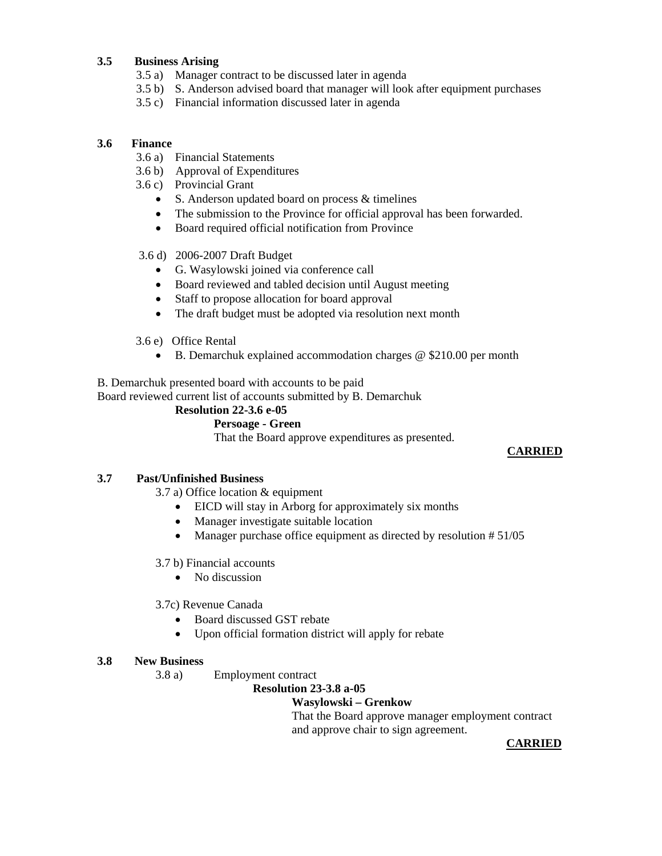# **3.5 Business Arising**

- 3.5 a) Manager contract to be discussed later in agenda
- 3.5 b) S. Anderson advised board that manager will look after equipment purchases
- 3.5 c) Financial information discussed later in agenda

# **3.6 Finance**

- 3.6 a) Financial Statements
- 3.6 b) Approval of Expenditures
- 3.6 c) Provincial Grant
	- S. Anderson updated board on process & timelines
	- The submission to the Province for official approval has been forwarded.
	- Board required official notification from Province

# 3.6 d) 2006-2007 Draft Budget

- G. Wasylowski joined via conference call
- Board reviewed and tabled decision until August meeting
- Staff to propose allocation for board approval
- The draft budget must be adopted via resolution next month
- 3.6 e) Office Rental
	- B. Demarchuk explained accommodation charges @ \$210.00 per month

B. Demarchuk presented board with accounts to be paid

Board reviewed current list of accounts submitted by B. Demarchuk

# **Resolution 22-3.6 e-05**

# **Persoage - Green**

That the Board approve expenditures as presented.

# **CARRIED**

# **3.7 Past/Unfinished Business**

3.7 a) Office location & equipment

- EICD will stay in Arborg for approximately six months
- Manager investigate suitable location
- Manager purchase office equipment as directed by resolution #51/05

# 3.7 b) Financial accounts

• No discussion

# 3.7c) Revenue Canada

- Board discussed GST rebate
- Upon official formation district will apply for rebate

# **3.8 New Business**

3.8 a) Employment contract

# **Resolution 23-3.8 a-05**

# **Wasylowski – Grenkow**

That the Board approve manager employment contract and approve chair to sign agreement.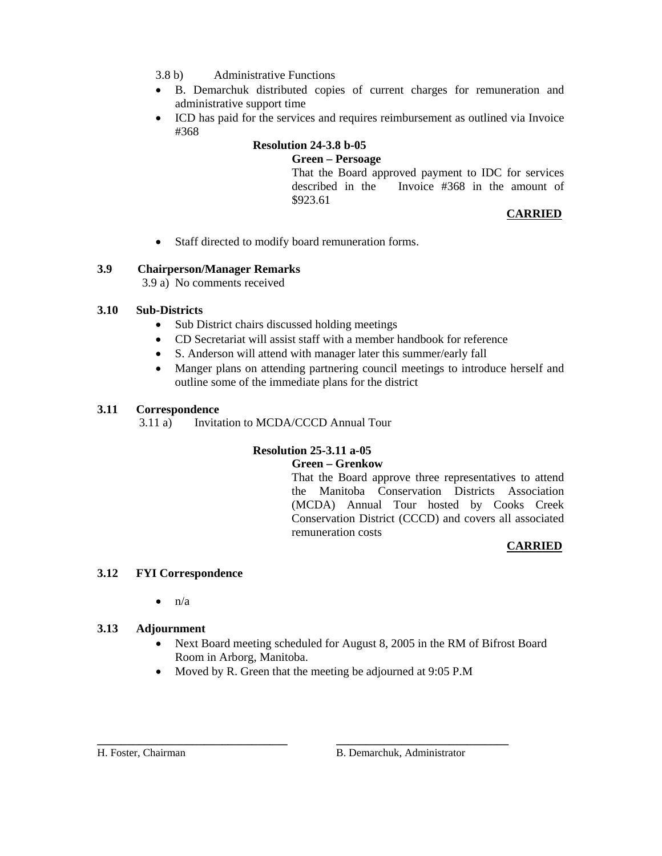- 3.8 b) Administrative Functions
- B. Demarchuk distributed copies of current charges for remuneration and administrative support time
- ICD has paid for the services and requires reimbursement as outlined via Invoice #368

# **Resolution 24-3.8 b-05**

# **Green – Persoage**

 That the Board approved payment to IDC for services described in the Invoice #368 in the amount of \$923.61

# **CARRIED**

• Staff directed to modify board remuneration forms.

# **3.9 Chairperson/Manager Remarks**

3.9 a) No comments received

# **3.10 Sub-Districts**

- Sub District chairs discussed holding meetings
- CD Secretariat will assist staff with a member handbook for reference
- S. Anderson will attend with manager later this summer/early fall
- Manger plans on attending partnering council meetings to introduce herself and outline some of the immediate plans for the district

# **3.11 Correspondence**

3.11 a) Invitation to MCDA/CCCD Annual Tour

# **Resolution 25-3.11 a-05**

# **Green – Grenkow**

 That the Board approve three representatives to attend the Manitoba Conservation Districts Association (MCDA) Annual Tour hosted by Cooks Creek Conservation District (CCCD) and covers all associated remuneration costs

# **CARRIED**

# **3.12 FYI Correspondence**

 $\bullet$   $n/a$ 

# **3.13 Adjournment**

- Next Board meeting scheduled for August 8, 2005 in the RM of Bifrost Board Room in Arborg, Manitoba.
- Moved by R. Green that the meeting be adjourned at 9:05 P.M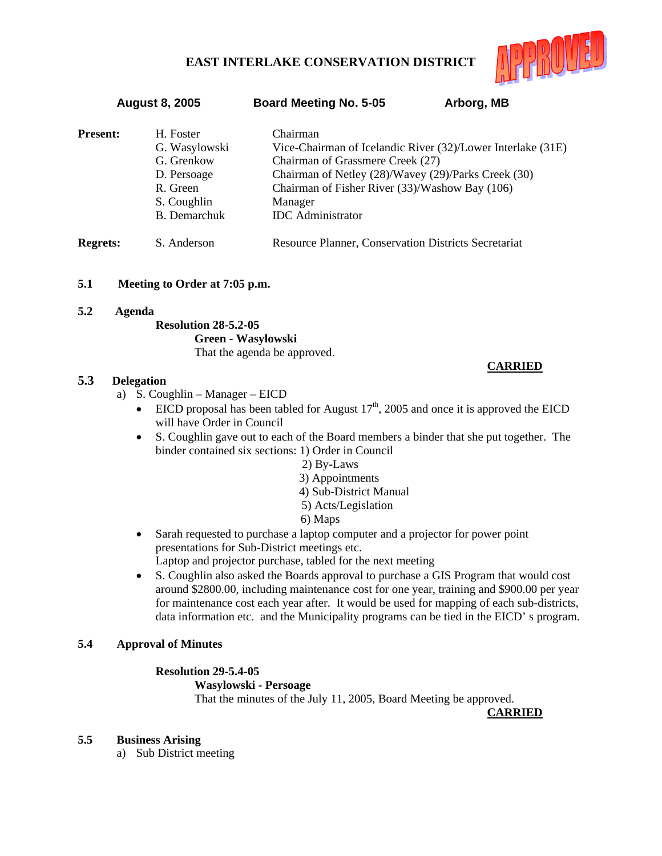

 **August 8, 2005 Board Meeting No. 5-05 Arborg, MB** 

| <b>Present:</b> | H. Foster<br>G. Wasylowski<br>G. Grenkow<br>D. Persoage<br>R. Green<br>S. Coughlin<br><b>B.</b> Demarchuk | Chairman<br>Vice-Chairman of Icelandic River (32)/Lower Interlake (31E)<br>Chairman of Grassmere Creek (27)<br>Chairman of Netley (28)/Wavey (29)/Parks Creek (30)<br>Chairman of Fisher River (33)/Washow Bay (106)<br>Manager<br><b>IDC</b> Administrator |
|-----------------|-----------------------------------------------------------------------------------------------------------|-------------------------------------------------------------------------------------------------------------------------------------------------------------------------------------------------------------------------------------------------------------|
| <b>Regrets:</b> | S. Anderson                                                                                               | <b>Resource Planner, Conservation Districts Secretariat</b>                                                                                                                                                                                                 |

- **5.1 Meeting to Order at 7:05 p.m.**
- **5.2 Agenda**

# **Resolution 28-5.2-05 Green - Wasylowski** That the agenda be approved.

# **5.3 Delegation**

- a) S. Coughlin Manager EICD
	- EICD proposal has been tabled for August  $17<sup>th</sup>$ , 2005 and once it is approved the EICD will have Order in Council
	- S. Coughlin gave out to each of the Board members a binder that she put together. The binder contained six sections: 1) Order in Council
		- 2) By-Laws
		- 3) Appointments
		- 4) Sub-District Manual
		- 5) Acts/Legislation
		- 6) Maps
	- Sarah requested to purchase a laptop computer and a projector for power point presentations for Sub-District meetings etc. Laptop and projector purchase, tabled for the next meeting
	- S. Coughlin also asked the Boards approval to purchase a GIS Program that would cost around \$2800.00, including maintenance cost for one year, training and \$900.00 per year for maintenance cost each year after. It would be used for mapping of each sub-districts, data information etc. and the Municipality programs can be tied in the EICD' s program.

# **5.4 Approval of Minutes**

# **Resolution 29-5.4-05**

# **Wasylowski - Persoage**

That the minutes of the July 11, 2005, Board Meeting be approved.

**CARRIED**

**CARRIED**

# **5.5 Business Arising**

a) Sub District meeting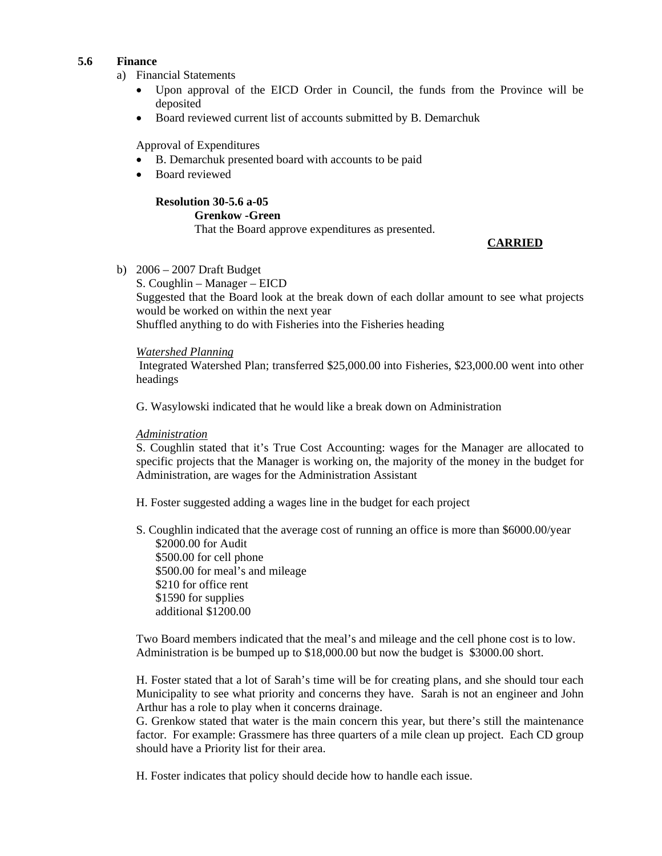## **5.6 Finance**

- a) Financial Statements
	- Upon approval of the EICD Order in Council, the funds from the Province will be deposited
	- Board reviewed current list of accounts submitted by B. Demarchuk

Approval of Expenditures

- B. Demarchuk presented board with accounts to be paid
- Board reviewed

# **Resolution 30-5.6 a-05 Grenkow -Green** That the Board approve expenditures as presented.

## **CARRIED**

b) 2006 – 2007 Draft Budget

S. Coughlin – Manager – EICD Suggested that the Board look at the break down of each dollar amount to see what projects would be worked on within the next year Shuffled anything to do with Fisheries into the Fisheries heading

## *Watershed Planning*

 Integrated Watershed Plan; transferred \$25,000.00 into Fisheries, \$23,000.00 went into other headings

G. Wasylowski indicated that he would like a break down on Administration

### *Administration*

S. Coughlin stated that it's True Cost Accounting: wages for the Manager are allocated to specific projects that the Manager is working on, the majority of the money in the budget for Administration, are wages for the Administration Assistant

H. Foster suggested adding a wages line in the budget for each project

S. Coughlin indicated that the average cost of running an office is more than \$6000.00/year \$2000.00 for Audit \$500.00 for cell phone \$500.00 for meal's and mileage \$210 for office rent \$1590 for supplies additional \$1200.00

Two Board members indicated that the meal's and mileage and the cell phone cost is to low. Administration is be bumped up to \$18,000.00 but now the budget is \$3000.00 short.

H. Foster stated that a lot of Sarah's time will be for creating plans, and she should tour each Municipality to see what priority and concerns they have. Sarah is not an engineer and John Arthur has a role to play when it concerns drainage.

G. Grenkow stated that water is the main concern this year, but there's still the maintenance factor. For example: Grassmere has three quarters of a mile clean up project. Each CD group should have a Priority list for their area.

H. Foster indicates that policy should decide how to handle each issue.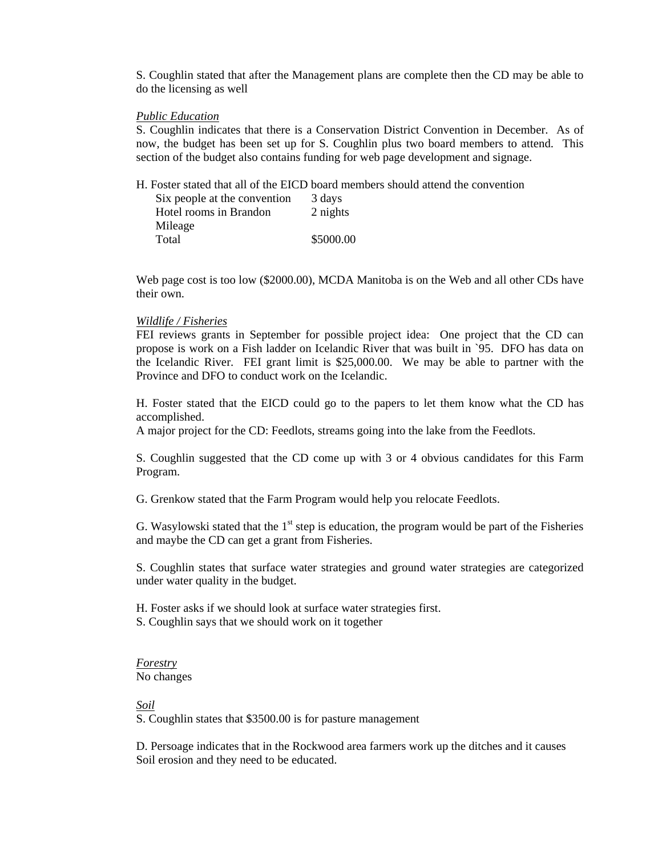S. Coughlin stated that after the Management plans are complete then the CD may be able to do the licensing as well

#### *Public Education*

S. Coughlin indicates that there is a Conservation District Convention in December. As of now, the budget has been set up for S. Coughlin plus two board members to attend. This section of the budget also contains funding for web page development and signage.

H. Foster stated that all of the EICD board members should attend the convention

| Six people at the convention | 3 days    |
|------------------------------|-----------|
| Hotel rooms in Brandon       | 2 nights  |
| Mileage                      |           |
| Total                        | \$5000.00 |

Web page cost is too low (\$2000.00), MCDA Manitoba is on the Web and all other CDs have their own.

#### *Wildlife / Fisheries*

FEI reviews grants in September for possible project idea: One project that the CD can propose is work on a Fish ladder on Icelandic River that was built in `95. DFO has data on the Icelandic River. FEI grant limit is \$25,000.00. We may be able to partner with the Province and DFO to conduct work on the Icelandic.

H. Foster stated that the EICD could go to the papers to let them know what the CD has accomplished.

A major project for the CD: Feedlots, streams going into the lake from the Feedlots.

S. Coughlin suggested that the CD come up with 3 or 4 obvious candidates for this Farm Program.

G. Grenkow stated that the Farm Program would help you relocate Feedlots.

G. Wasylowski stated that the  $1<sup>st</sup>$  step is education, the program would be part of the Fisheries and maybe the CD can get a grant from Fisheries.

S. Coughlin states that surface water strategies and ground water strategies are categorized under water quality in the budget.

H. Foster asks if we should look at surface water strategies first. S. Coughlin says that we should work on it together

#### *Forestry* No changes

*Soil*

S. Coughlin states that \$3500.00 is for pasture management

 D. Persoage indicates that in the Rockwood area farmers work up the ditches and it causes Soil erosion and they need to be educated.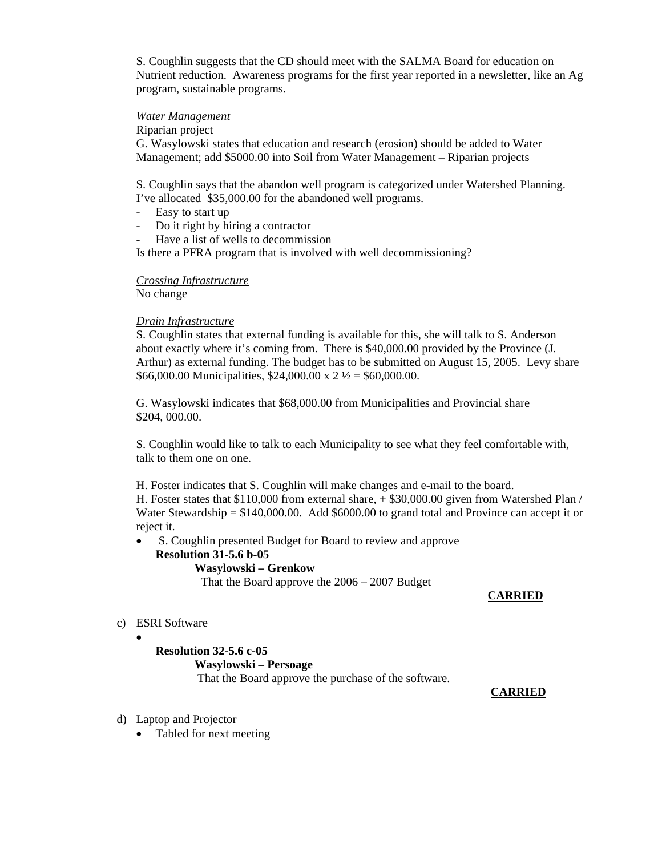S. Coughlin suggests that the CD should meet with the SALMA Board for education on Nutrient reduction. Awareness programs for the first year reported in a newsletter, like an Ag program, sustainable programs.

## *Water Management*

Riparian project

G. Wasylowski states that education and research (erosion) should be added to Water Management; add \$5000.00 into Soil from Water Management – Riparian projects

S. Coughlin says that the abandon well program is categorized under Watershed Planning. I've allocated \$35,000.00 for the abandoned well programs.

- Easy to start up
- Do it right by hiring a contractor
- Have a list of wells to decommission

Is there a PFRA program that is involved with well decommissioning?

# *Crossing Infrastructure*

No change

# *Drain Infrastructure*

S. Coughlin states that external funding is available for this, she will talk to S. Anderson about exactly where it's coming from. There is \$40,000.00 provided by the Province (J. Arthur) as external funding. The budget has to be submitted on August 15, 2005. Levy share \$66,000.00 Municipalities, \$24,000.00 x 2  $\frac{1}{2}$  = \$60,000.00.

G. Wasylowski indicates that \$68,000.00 from Municipalities and Provincial share \$204, 000.00.

S. Coughlin would like to talk to each Municipality to see what they feel comfortable with, talk to them one on one.

H. Foster indicates that S. Coughlin will make changes and e-mail to the board. H. Foster states that \$110,000 from external share, + \$30,000.00 given from Watershed Plan / Water Stewardship = \$140,000.00. Add \$6000.00 to grand total and Province can accept it or reject it.

• S. Coughlin presented Budget for Board to review and approve

# **Resolution 31-5.6 b-05**

# **Wasylowski – Grenkow**

That the Board approve the 2006 – 2007 Budget

# **CARRIED**

# c) ESRI Software

•

**Resolution 32-5.6 c-05 Wasylowski – Persoage** That the Board approve the purchase of the software.

- d) Laptop and Projector
	- Tabled for next meeting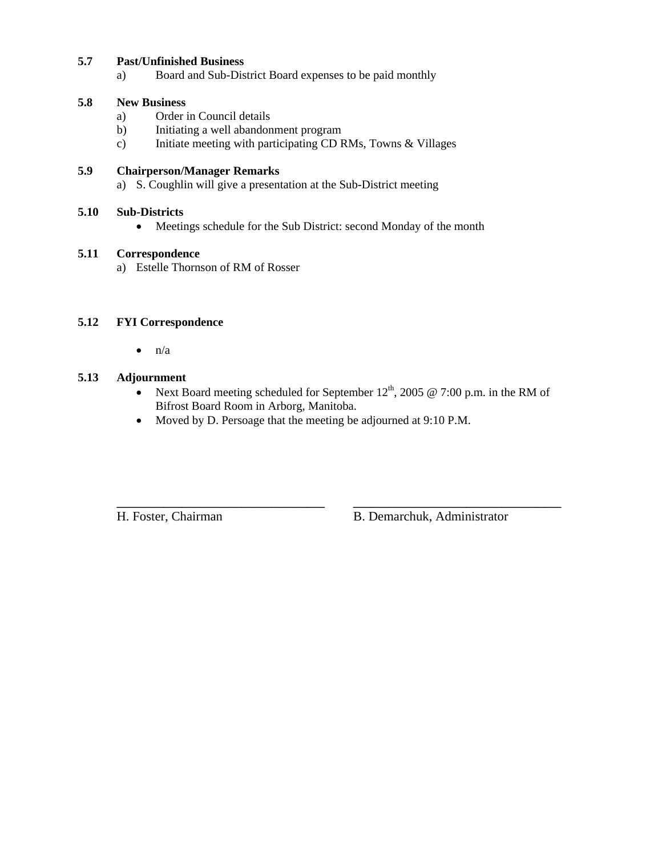# **5.7 Past/Unfinished Business**

a) Board and Sub-District Board expenses to be paid monthly

# **5.8 New Business**

- a) Order in Council details
- b) Initiating a well abandonment program
- c) Initiate meeting with participating CD RMs, Towns & Villages

# **5.9 Chairperson/Manager Remarks**

a) S. Coughlin will give a presentation at the Sub-District meeting

## **5.10 Sub-Districts**

• Meetings schedule for the Sub District: second Monday of the month

## **5.11 Correspondence**

a) Estelle Thornson of RM of Rosser

# **5.12 FYI Correspondence**

 $\bullet$   $n/a$ 

# **5.13 Adjournment**

• Next Board meeting scheduled for September  $12^{th}$ , 2005 @ 7:00 p.m. in the RM of Bifrost Board Room in Arborg, Manitoba.

**\_\_\_\_\_\_\_\_\_\_\_\_\_\_\_\_\_\_\_\_\_\_\_\_\_\_\_\_\_\_\_\_\_\_\_ \_\_\_\_\_\_\_\_\_\_\_\_\_\_\_\_\_\_\_\_\_\_\_\_\_\_\_\_\_\_\_\_\_\_\_**

• Moved by D. Persoage that the meeting be adjourned at 9:10 P.M.

H. Foster, Chairman B. Demarchuk, Administrator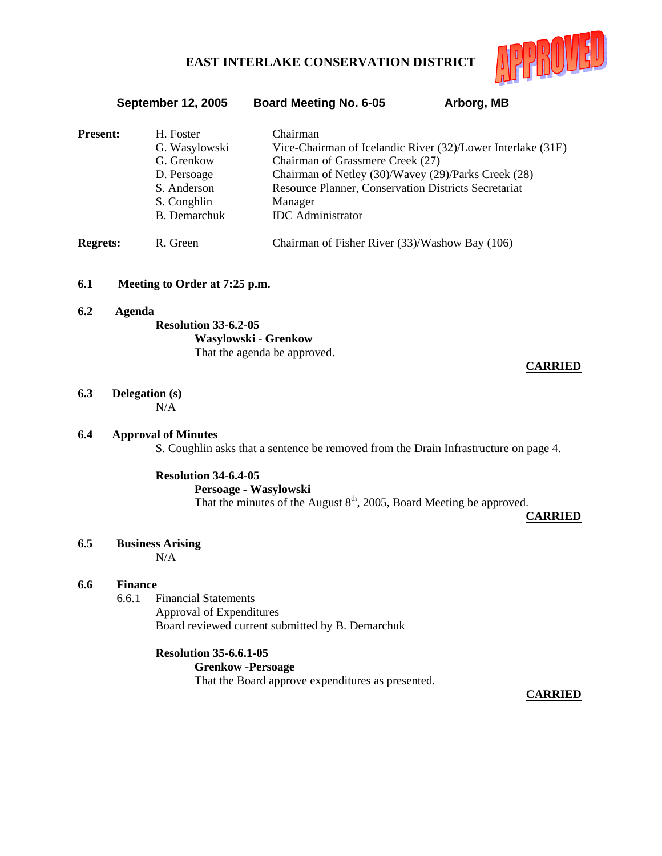

September 12, 2005 Board Meeting No. 6-05 Arborg, MB

| <b>Present:</b> | H. Foster<br>G. Wasylowski<br>G. Grenkow<br>D. Persoage<br>S. Anderson<br>S. Conghlin<br><b>B.</b> Demarchuk | Chairman<br>Vice-Chairman of Icelandic River (32)/Lower Interlake (31E)<br>Chairman of Grassmere Creek (27)<br>Chairman of Netley (30)/Wavey (29)/Parks Creek (28)<br>Resource Planner, Conservation Districts Secretariat<br>Manager<br><b>IDC</b> Administrator |
|-----------------|--------------------------------------------------------------------------------------------------------------|-------------------------------------------------------------------------------------------------------------------------------------------------------------------------------------------------------------------------------------------------------------------|
| <b>Regrets:</b> | R. Green                                                                                                     | Chairman of Fisher River (33)/Washow Bay (106)                                                                                                                                                                                                                    |

#### **6.1 Meeting to Order at 7:25 p.m.**

**6.2 Agenda Resolution 33-6.2-05 Wasylowski - Grenkow** That the agenda be approved.

# **CARRIED**

# **6.3 Delegation (s)**

N/A

## **6.4 Approval of Minutes**

S. Coughlin asks that a sentence be removed from the Drain Infrastructure on page 4.

### **Resolution 34-6.4-05**

### **Persoage - Wasylowski**

That the minutes of the August 8<sup>th</sup>, 2005, Board Meeting be approved.

**CARRIED**

## **6.5 Business Arising**

N/A

### **6.6 Finance**

6.6.1 Financial Statements Approval of Expenditures Board reviewed current submitted by B. Demarchuk

### **Resolution 35-6.6.1-05**

 **Grenkow -Persoage** That the Board approve expenditures as presented.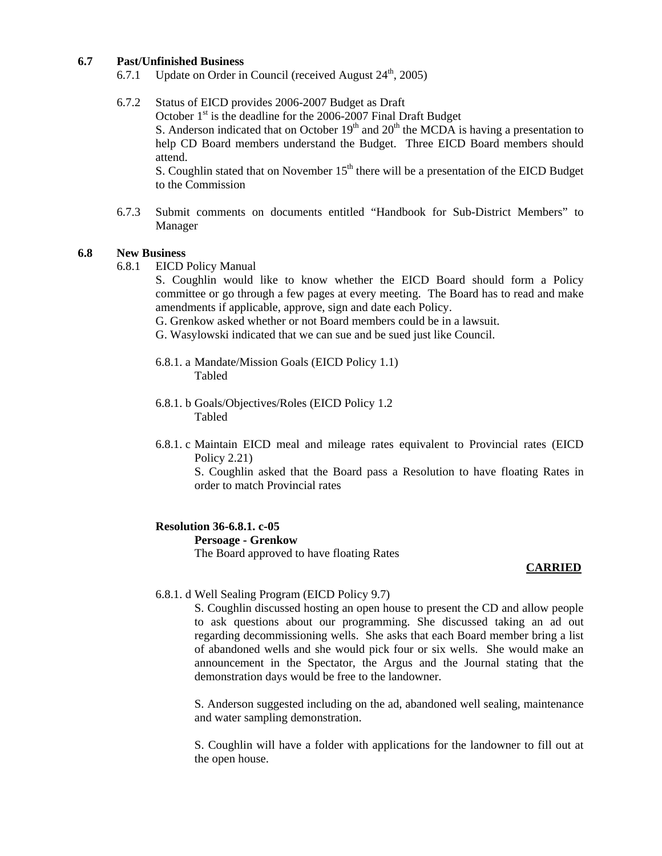## **6.7 Past/Unfinished Business**

6.7.1 Update on Order in Council (received August  $24<sup>th</sup>$ , 2005)

6.7.2 Status of EICD provides 2006-2007 Budget as Draft October  $1<sup>st</sup>$  is the deadline for the 2006-2007 Final Draft Budget S. Anderson indicated that on October  $19<sup>th</sup>$  and  $20<sup>th</sup>$  the MCDA is having a presentation to help CD Board members understand the Budget. Three EICD Board members should attend. S. Coughlin stated that on November  $15<sup>th</sup>$  there will be a presentation of the EICD Budget

to the Commission

6.7.3 Submit comments on documents entitled "Handbook for Sub-District Members" to Manager

#### **6.8 New Business**

6.8.1 EICD Policy Manual

S. Coughlin would like to know whether the EICD Board should form a Policy committee or go through a few pages at every meeting. The Board has to read and make amendments if applicable, approve, sign and date each Policy.

G. Grenkow asked whether or not Board members could be in a lawsuit.

G. Wasylowski indicated that we can sue and be sued just like Council.

- 6.8.1. a Mandate/Mission Goals (EICD Policy 1.1) Tabled
- 6.8.1. b Goals/Objectives/Roles (EICD Policy 1.2 Tabled
- 6.8.1. c Maintain EICD meal and mileage rates equivalent to Provincial rates (EICD Policy 2.21)

 S. Coughlin asked that the Board pass a Resolution to have floating Rates in order to match Provincial rates

### **Resolution 36-6.8.1. c-05**

### **Persoage - Grenkow**

The Board approved to have floating Rates

#### **CARRIED**

# 6.8.1. d Well Sealing Program (EICD Policy 9.7)

S. Coughlin discussed hosting an open house to present the CD and allow people to ask questions about our programming. She discussed taking an ad out regarding decommissioning wells. She asks that each Board member bring a list of abandoned wells and she would pick four or six wells. She would make an announcement in the Spectator, the Argus and the Journal stating that the demonstration days would be free to the landowner.

S. Anderson suggested including on the ad, abandoned well sealing, maintenance and water sampling demonstration.

S. Coughlin will have a folder with applications for the landowner to fill out at the open house.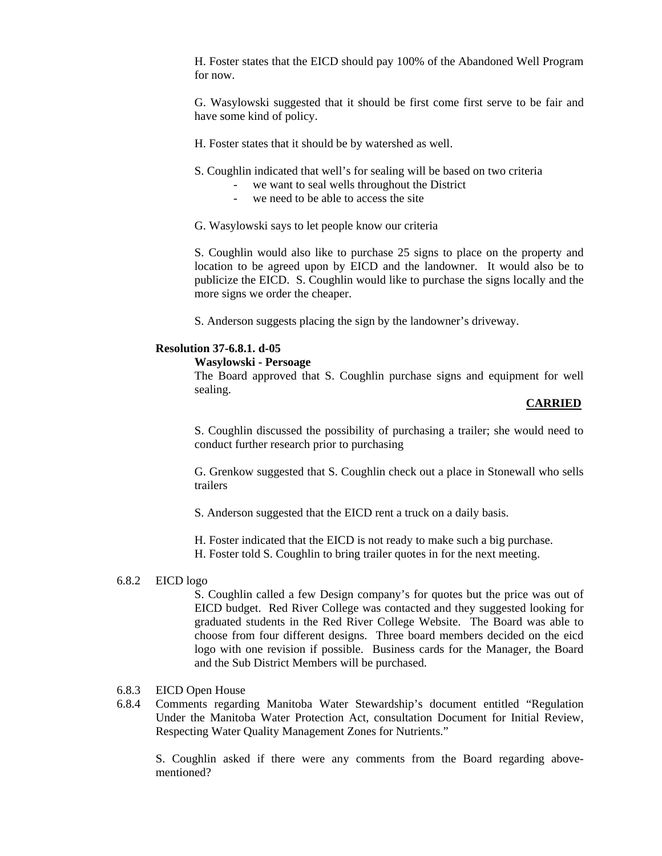H. Foster states that the EICD should pay 100% of the Abandoned Well Program for now.

G. Wasylowski suggested that it should be first come first serve to be fair and have some kind of policy.

- H. Foster states that it should be by watershed as well.
- S. Coughlin indicated that well's for sealing will be based on two criteria
	- we want to seal wells throughout the District
	- we need to be able to access the site
- G. Wasylowski says to let people know our criteria

S. Coughlin would also like to purchase 25 signs to place on the property and location to be agreed upon by EICD and the landowner. It would also be to publicize the EICD. S. Coughlin would like to purchase the signs locally and the more signs we order the cheaper.

S. Anderson suggests placing the sign by the landowner's driveway.

#### **Resolution 37-6.8.1. d-05**

#### **Wasylowski - Persoage**

 The Board approved that S. Coughlin purchase signs and equipment for well sealing.

#### **CARRIED**

S. Coughlin discussed the possibility of purchasing a trailer; she would need to conduct further research prior to purchasing

G. Grenkow suggested that S. Coughlin check out a place in Stonewall who sells trailers

S. Anderson suggested that the EICD rent a truck on a daily basis.

H. Foster indicated that the EICD is not ready to make such a big purchase.

H. Foster told S. Coughlin to bring trailer quotes in for the next meeting.

### 6.8.2 EICD logo

S. Coughlin called a few Design company's for quotes but the price was out of EICD budget. Red River College was contacted and they suggested looking for graduated students in the Red River College Website. The Board was able to choose from four different designs. Three board members decided on the eicd logo with one revision if possible. Business cards for the Manager, the Board and the Sub District Members will be purchased.

#### 6.8.3 EICD Open House

6.8.4 Comments regarding Manitoba Water Stewardship's document entitled "Regulation Under the Manitoba Water Protection Act, consultation Document for Initial Review, Respecting Water Quality Management Zones for Nutrients."

S. Coughlin asked if there were any comments from the Board regarding abovementioned?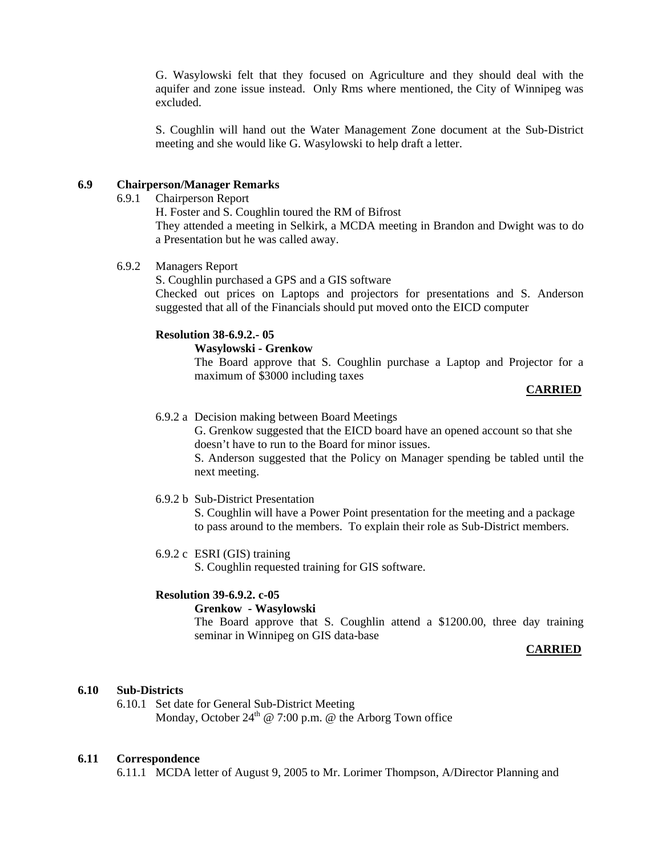G. Wasylowski felt that they focused on Agriculture and they should deal with the aquifer and zone issue instead. Only Rms where mentioned, the City of Winnipeg was excluded.

S. Coughlin will hand out the Water Management Zone document at the Sub-District meeting and she would like G. Wasylowski to help draft a letter.

## **6.9 Chairperson/Manager Remarks**

6.9.1 Chairperson Report

H. Foster and S. Coughlin toured the RM of Bifrost

They attended a meeting in Selkirk, a MCDA meeting in Brandon and Dwight was to do a Presentation but he was called away.

# 6.9.2 Managers Report

S. Coughlin purchased a GPS and a GIS software

Checked out prices on Laptops and projectors for presentations and S. Anderson suggested that all of the Financials should put moved onto the EICD computer

## **Resolution 38-6.9.2.- 05**

#### **Wasylowski - Grenkow**

 The Board approve that S. Coughlin purchase a Laptop and Projector for a maximum of \$3000 including taxes

### **CARRIED**

6.9.2 a Decision making between Board Meetings

 G. Grenkow suggested that the EICD board have an opened account so that she doesn't have to run to the Board for minor issues.

S. Anderson suggested that the Policy on Manager spending be tabled until the next meeting.

## 6.9.2 b Sub-District Presentation

 S. Coughlin will have a Power Point presentation for the meeting and a package to pass around to the members. To explain their role as Sub-District members.

## 6.9.2 c ESRI (GIS) training

S. Coughlin requested training for GIS software.

## **Resolution 39-6.9.2. c-05**

#### **Grenkow - Wasylowski**

 The Board approve that S. Coughlin attend a \$1200.00, three day training seminar in Winnipeg on GIS data-base

## **CARRIED**

### **6.10 Sub-Districts**

6.10.1 Set date for General Sub-District Meeting Monday, October  $24<sup>th</sup>$  @ 7:00 p.m. @ the Arborg Town office

### **6.11 Correspondence**

6.11.1 MCDA letter of August 9, 2005 to Mr. Lorimer Thompson, A/Director Planning and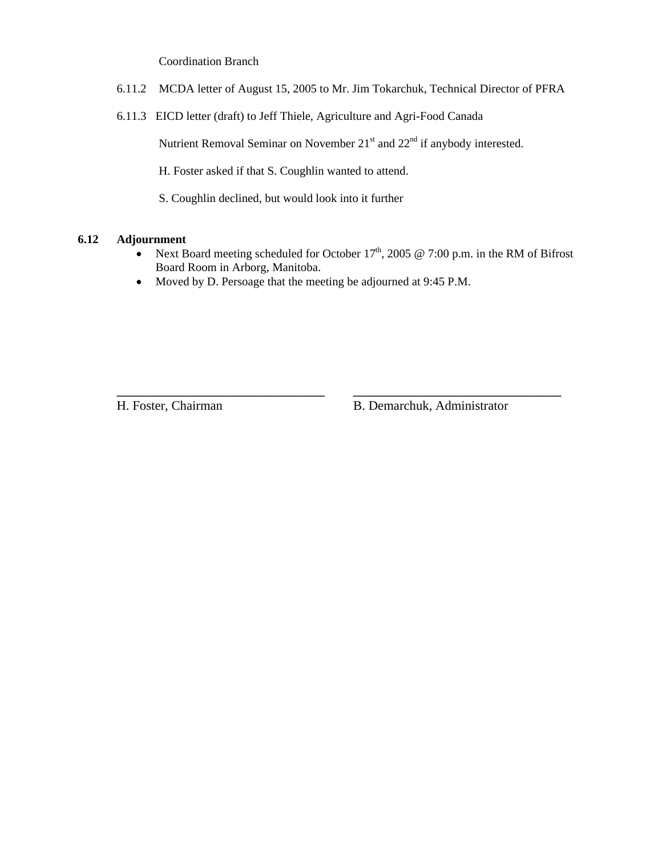Coordination Branch

- 6.11.2 MCDA letter of August 15, 2005 to Mr. Jim Tokarchuk, Technical Director of PFRA
- 6.11.3 EICD letter (draft) to Jeff Thiele, Agriculture and Agri-Food Canada

Nutrient Removal Seminar on November  $21<sup>st</sup>$  and  $22<sup>nd</sup>$  if anybody interested.

H. Foster asked if that S. Coughlin wanted to attend.

S. Coughlin declined, but would look into it further

# **6.12 Adjournment**

• Next Board meeting scheduled for October  $17<sup>th</sup>$ , 2005 @ 7:00 p.m. in the RM of Bifrost Board Room in Arborg, Manitoba.

**\_\_\_\_\_\_\_\_\_\_\_\_\_\_\_\_\_\_\_\_\_\_\_\_\_\_\_\_\_\_\_\_\_\_\_ \_\_\_\_\_\_\_\_\_\_\_\_\_\_\_\_\_\_\_\_\_\_\_\_\_\_\_\_\_\_\_\_\_\_\_**

• Moved by D. Persoage that the meeting be adjourned at 9:45 P.M.

H. Foster, Chairman B. Demarchuk, Administrator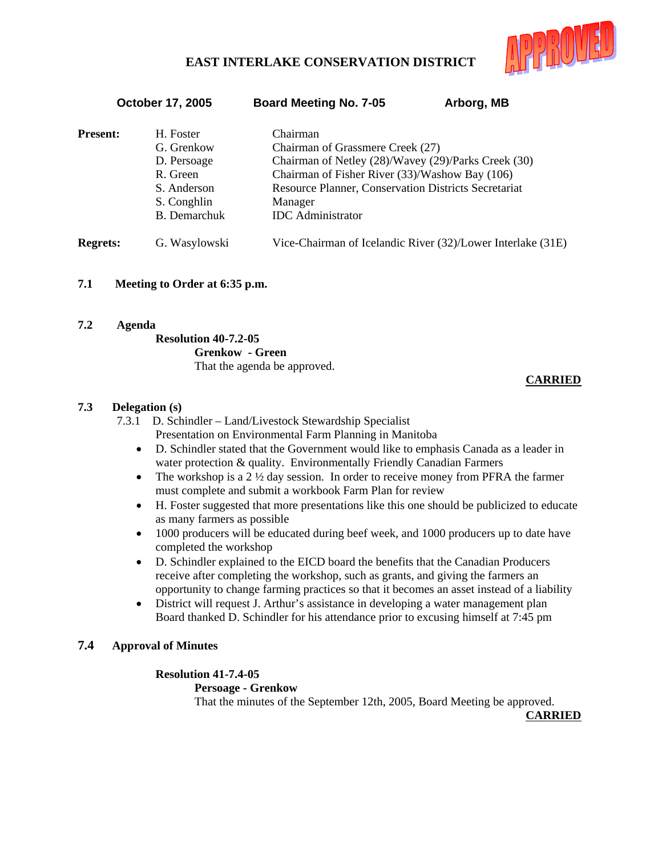

October 17, 2005 Board Meeting No. 7-05 Arborg, MB

| <b>Present:</b> | H. Foster<br>G. Grenkow<br>D. Persoage<br>R. Green<br>S. Anderson<br>S. Conghlin | Chairman<br>Chairman of Grassmere Creek (27)<br>Chairman of Netley (28)/Wavey (29)/Parks Creek (30)<br>Chairman of Fisher River (33)/Washow Bay (106)<br>Resource Planner, Conservation Districts Secretariat<br>Manager |
|-----------------|----------------------------------------------------------------------------------|--------------------------------------------------------------------------------------------------------------------------------------------------------------------------------------------------------------------------|
|                 | <b>B.</b> Demarchuk                                                              | <b>IDC</b> Administrator                                                                                                                                                                                                 |
| <b>Regrets:</b> | G. Wasylowski                                                                    | Vice-Chairman of Icelandic River (32)/Lower Interlake (31E)                                                                                                                                                              |

# **7.1 Meeting to Order at 6:35 p.m.**

**7.2 Agenda** 

### **Resolution 40-7.2-05**

 **Grenkow - Green** That the agenda be approved.

# **CARRIED**

# **7.3 Delegation (s)**

- 7.3.1 D. Schindler Land/Livestock Stewardship Specialist Presentation on Environmental Farm Planning in Manitoba
	- D. Schindler stated that the Government would like to emphasis Canada as a leader in water protection & quality. Environmentally Friendly Canadian Farmers
	- The workshop is a 2  $\frac{1}{2}$  day session. In order to receive money from PFRA the farmer must complete and submit a workbook Farm Plan for review
	- H. Foster suggested that more presentations like this one should be publicized to educate as many farmers as possible
	- 1000 producers will be educated during beef week, and 1000 producers up to date have completed the workshop
	- D. Schindler explained to the EICD board the benefits that the Canadian Producers receive after completing the workshop, such as grants, and giving the farmers an opportunity to change farming practices so that it becomes an asset instead of a liability
	- District will request J. Arthur's assistance in developing a water management plan Board thanked D. Schindler for his attendance prior to excusing himself at 7:45 pm

# **7.4 Approval of Minutes**

# **Resolution 41-7.4-05**

### **Persoage - Grenkow**

That the minutes of the September 12th, 2005, Board Meeting be approved.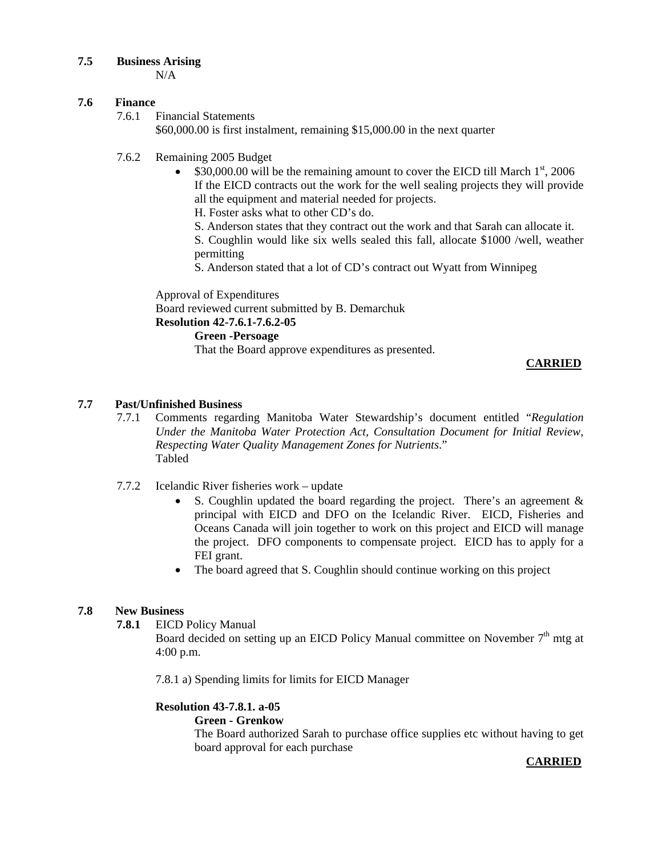# **7.5 Business Arising**

N/A

# **7.6 Finance**

7.6.1 Financial Statements

\$60,000.00 is first instalment, remaining \$15,000.00 in the next quarter

- 7.6.2 Remaining 2005 Budget
	- $$30,000.00$  will be the remaining amount to cover the EICD till March  $1<sup>st</sup>$ , 2006 If the EICD contracts out the work for the well sealing projects they will provide all the equipment and material needed for projects.
		- H. Foster asks what to other CD's do.
		- S. Anderson states that they contract out the work and that Sarah can allocate it.

S. Coughlin would like six wells sealed this fall, allocate \$1000 /well, weather permitting

S. Anderson stated that a lot of CD's contract out Wyatt from Winnipeg

Approval of Expenditures

Board reviewed current submitted by B. Demarchuk

**Resolution 42-7.6.1-7.6.2-05**

 **Green -Persoage**

That the Board approve expenditures as presented.

# **CARRIED**

# **7.7 Past/Unfinished Business**

- 7.7.1 Comments regarding Manitoba Water Stewardship's document entitled "*Regulation Under the Manitoba Water Protection Act, Consultation Document for Initial Review, Respecting Water Quality Management Zones for Nutrients*." Tabled
- 7.7.2 Icelandic River fisheries work update
	- S. Coughlin updated the board regarding the project. There's an agreement  $\&$ principal with EICD and DFO on the Icelandic River. EICD, Fisheries and Oceans Canada will join together to work on this project and EICD will manage the project. DFO components to compensate project. EICD has to apply for a FEI grant.
	- The board agreed that S. Coughlin should continue working on this project

# **7.8 New Business**

**7.8.1** EICD Policy Manual

Board decided on setting up an EICD Policy Manual committee on November  $7<sup>th</sup>$  mtg at 4:00 p.m.

7.8.1 a) Spending limits for limits for EICD Manager

# **Resolution 43-7.8.1. a-05**

# **Green - Grenkow**

 The Board authorized Sarah to purchase office supplies etc without having to get board approval for each purchase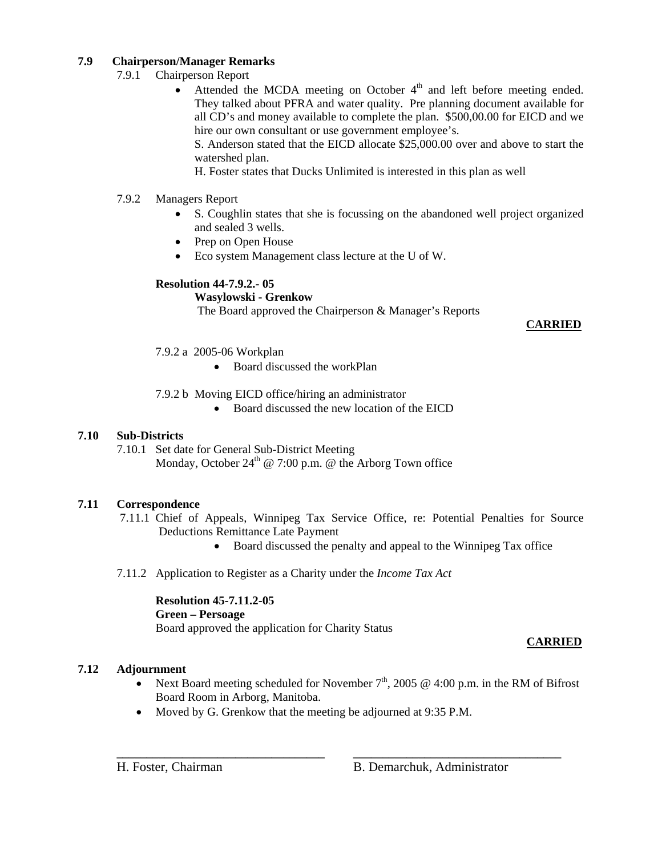# **7.9 Chairperson/Manager Remarks**

- 7.9.1 Chairperson Report
	- Attended the MCDA meeting on October  $4<sup>th</sup>$  and left before meeting ended. They talked about PFRA and water quality. Pre planning document available for all CD's and money available to complete the plan. \$500,00.00 for EICD and we hire our own consultant or use government employee's.

S. Anderson stated that the EICD allocate \$25,000.00 over and above to start the watershed plan.

H. Foster states that Ducks Unlimited is interested in this plan as well

- 7.9.2 Managers Report
	- S. Coughlin states that she is focussing on the abandoned well project organized and sealed 3 wells.
	- Prep on Open House
	- Eco system Management class lecture at the U of W.

# **Resolution 44-7.9.2.- 05**

# **Wasylowski - Grenkow**

The Board approved the Chairperson & Manager's Reports

# **CARRIED**

- 7.9.2 a 2005-06 Workplan
	- Board discussed the workPlan
- 7.9.2 b Moving EICD office/hiring an administrator
	- Board discussed the new location of the EICD

# **7.10 Sub-Districts**

7.10.1 Set date for General Sub-District Meeting Monday, October  $24^{th}$  @ 7:00 p.m. @ the Arborg Town office

# **7.11 Correspondence**

- 7.11.1 Chief of Appeals, Winnipeg Tax Service Office, re: Potential Penalties for Source Deductions Remittance Late Payment
	- Board discussed the penalty and appeal to the Winnipeg Tax office
- 7.11.2 Application to Register as a Charity under the *Income Tax Act*

# **Resolution 45-7.11.2-05**

# **Green – Persoage**

Board approved the application for Charity Status

# **CARRIED**

# **7.12 Adjournment**

• Next Board meeting scheduled for November  $7<sup>th</sup>$ , 2005 @ 4:00 p.m. in the RM of Bifrost Board Room in Arborg, Manitoba.

**\_\_\_\_\_\_\_\_\_\_\_\_\_\_\_\_\_\_\_\_\_\_\_\_\_\_\_\_\_\_\_\_\_\_\_ \_\_\_\_\_\_\_\_\_\_\_\_\_\_\_\_\_\_\_\_\_\_\_\_\_\_\_\_\_\_\_\_\_\_\_**

• Moved by G. Grenkow that the meeting be adjourned at 9:35 P.M.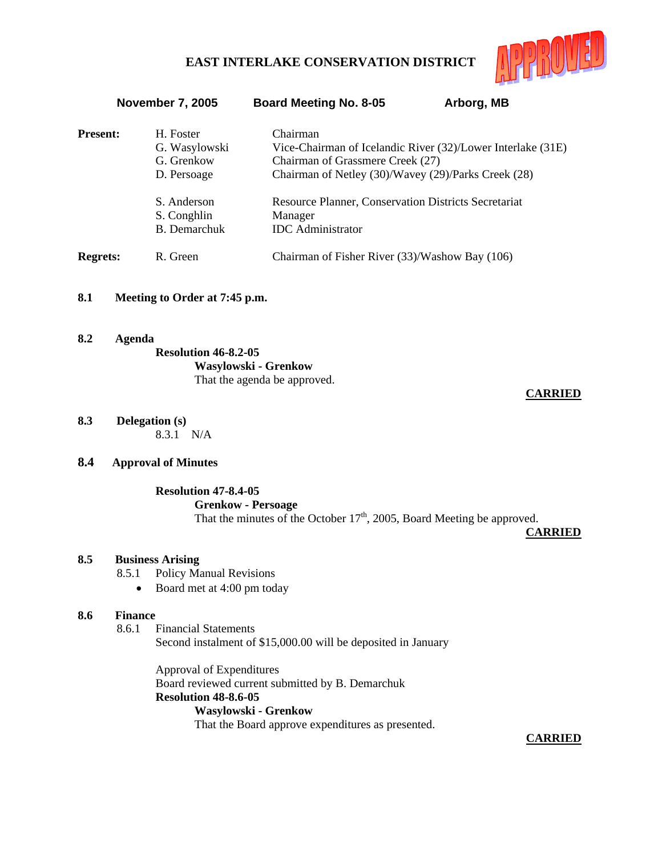

| H. Foster           | Chairman<br>Vice-Chairman of Icelandic River (32)/Lower Interlake (31E) |
|---------------------|-------------------------------------------------------------------------|
|                     |                                                                         |
|                     | Chairman of Grassmere Creek (27)                                        |
| D. Persoage         | Chairman of Netley (30)/Wavey (29)/Parks Creek (28)                     |
| S. Anderson         | <b>Resource Planner, Conservation Districts Secretariat</b>             |
| S. Conghlin         | Manager                                                                 |
| <b>B.</b> Demarchuk | <b>IDC</b> Administrator                                                |
|                     | Chairman of Fisher River (33)/Washow Bay (106)                          |
|                     | G. Wasylowski<br>G. Grenkow<br>R. Green                                 |

November 7, 2005 Board Meeting No. 8-05 Arborg, MB

# **8.1 Meeting to Order at 7:45 p.m.**

**8.2 Agenda Resolution 46-8.2-05 Wasylowski - Grenkow**  That the agenda be approved.

# **CARRIED**

**8.3 Delegation (s)** 8.3.1 N/A

# **8.4 Approval of Minutes**

### **Resolution 47-8.4-05**

#### **Grenkow - Persoage**

That the minutes of the October  $17<sup>th</sup>$ , 2005, Board Meeting be approved.

**CARRIED**

## **8.5 Business Arising**

- 8.5.1 Policy Manual Revisions
	- Board met at 4:00 pm today

#### **8.6 Finance**

#### 8.6.1 Financial Statements Second instalment of \$15,000.00 will be deposited in January

Approval of Expenditures Board reviewed current submitted by B. Demarchuk **Resolution 48-8.6-05 Wasylowski - Grenkow** That the Board approve expenditures as presented.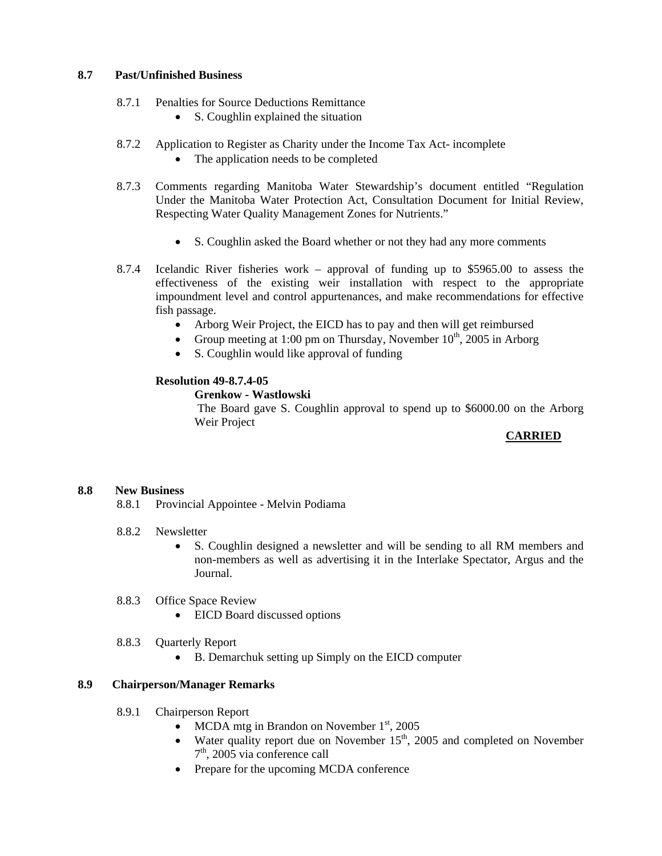## **8.7 Past/Unfinished Business**

- 8.7.1 Penalties for Source Deductions Remittance
	- S. Coughlin explained the situation
- 8.7.2 Application to Register as Charity under the Income Tax Act- incomplete
	- The application needs to be completed
- 8.7.3 Comments regarding Manitoba Water Stewardship's document entitled "Regulation Under the Manitoba Water Protection Act, Consultation Document for Initial Review, Respecting Water Quality Management Zones for Nutrients."
	- S. Coughlin asked the Board whether or not they had any more comments
- 8.7.4 Icelandic River fisheries work approval of funding up to \$5965.00 to assess the effectiveness of the existing weir installation with respect to the appropriate impoundment level and control appurtenances, and make recommendations for effective fish passage.
	- Arborg Weir Project, the EICD has to pay and then will get reimbursed
	- Group meeting at 1:00 pm on Thursday, November  $10^{th}$ , 2005 in Arborg
	- S. Coughlin would like approval of funding

# **Resolution 49-8.7.4-05**

## **Grenkow - Wastlowski**

 The Board gave S. Coughlin approval to spend up to \$6000.00 on the Arborg Weir Project

# **CARRIED**

# **8.8 New Business**

- 8.8.1 Provincial Appointee Melvin Podiama
- 8.8.2 Newsletter
	- S. Coughlin designed a newsletter and will be sending to all RM members and non-members as well as advertising it in the Interlake Spectator, Argus and the Journal.
- 8.8.3 Office Space Review
	- EICD Board discussed options
- 8.8.3 Quarterly Report
	- B. Demarchuk setting up Simply on the EICD computer

# **8.9 Chairperson/Manager Remarks**

- 8.9.1 Chairperson Report
	- MCDA mtg in Brandon on November  $1<sup>st</sup>$ , 2005
	- Water quality report due on November  $15<sup>th</sup>$ , 2005 and completed on November 7<sup>th</sup>, 2005 via conference call
	- Prepare for the upcoming MCDA conference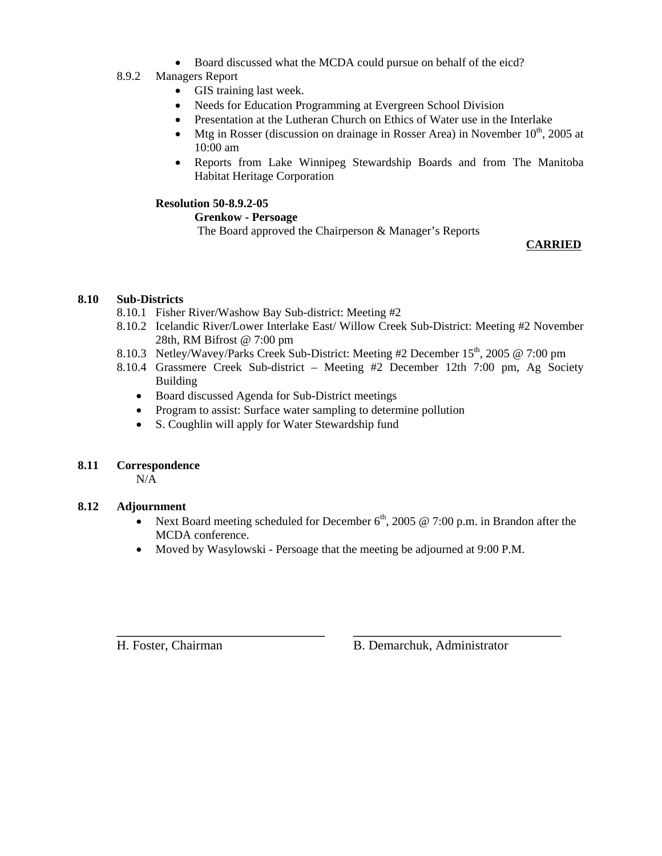• Board discussed what the MCDA could pursue on behalf of the eicd?

# 8.9.2 Managers Report

- GIS training last week.
- Needs for Education Programming at Evergreen School Division
- Presentation at the Lutheran Church on Ethics of Water use in the Interlake
- Mtg in Rosser (discussion on drainage in Rosser Area) in November  $10^{th}$ , 2005 at 10:00 am
- Reports from Lake Winnipeg Stewardship Boards and from The Manitoba Habitat Heritage Corporation

# **Resolution 50-8.9.2-05**

# **Grenkow - Persoage**

The Board approved the Chairperson & Manager's Reports

# **CARRIED**

# **8.10 Sub-Districts**

- 8.10.1 Fisher River/Washow Bay Sub-district: Meeting #2
- 8.10.2 Icelandic River/Lower Interlake East/ Willow Creek Sub-District: Meeting #2 November 28th, RM Bifrost @ 7:00 pm
- 8.10.3 Netley/Wavey/Parks Creek Sub-District: Meeting #2 December 15<sup>th</sup>, 2005 @ 7:00 pm
- 8.10.4 Grassmere Creek Sub-district Meeting #2 December 12th 7:00 pm, Ag Society Building
	- Board discussed Agenda for Sub-District meetings
	- Program to assist: Surface water sampling to determine pollution
	- S. Coughlin will apply for Water Stewardship fund

# **8.11 Correspondence**

 $N/A$ 

# **8.12 Adjournment**

- Next Board meeting scheduled for December  $6<sup>th</sup>$ , 2005 @ 7:00 p.m. in Brandon after the MCDA conference.
- Moved by Wasylowski Persoage that the meeting be adjourned at 9:00 P.M.

**\_\_\_\_\_\_\_\_\_\_\_\_\_\_\_\_\_\_\_\_\_\_\_\_\_\_\_\_\_\_\_\_\_\_\_ \_\_\_\_\_\_\_\_\_\_\_\_\_\_\_\_\_\_\_\_\_\_\_\_\_\_\_\_\_\_\_\_\_\_\_** 

H. Foster, Chairman B. Demarchuk, Administrator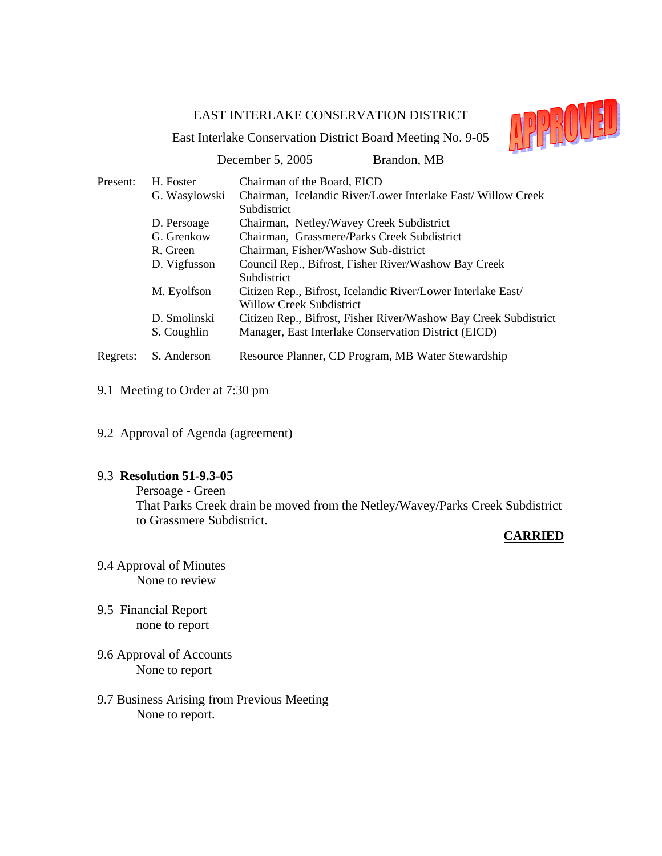

East Interlake Conservation District Board Meeting No. 9-05

|          |               | $\overline{\phantom{a}}$<br>December 5, 2005<br>Brandon, MB                                     |
|----------|---------------|-------------------------------------------------------------------------------------------------|
| Present: | H. Foster     | Chairman of the Board, EICD                                                                     |
|          | G. Wasylowski | Chairman, Icelandic River/Lower Interlake East/Willow Creek<br>Subdistrict                      |
|          | D. Persoage   | Chairman, Netley/Wavey Creek Subdistrict                                                        |
|          | G. Grenkow    | Chairman, Grassmere/Parks Creek Subdistrict                                                     |
|          | R. Green      | Chairman, Fisher/Washow Sub-district                                                            |
|          | D. Vigfusson  | Council Rep., Bifrost, Fisher River/Washow Bay Creek<br>Subdistrict                             |
|          | M. Eyolfson   | Citizen Rep., Bifrost, Icelandic River/Lower Interlake East/<br><b>Willow Creek Subdistrict</b> |
|          | D. Smolinski  | Citizen Rep., Bifrost, Fisher River/Washow Bay Creek Subdistrict                                |
|          | S. Coughlin   | Manager, East Interlake Conservation District (EICD)                                            |
| Regrets: | S. Anderson   | Resource Planner, CD Program, MB Water Stewardship                                              |

- 9.1 Meeting to Order at 7:30 pm
- 9.2 Approval of Agenda (agreement)

# 9.3 **Resolution 51-9.3-05**

 Persoage - Green That Parks Creek drain be moved from the Netley/Wavey/Parks Creek Subdistrict to Grassmere Subdistrict.

- 9.4 Approval of Minutes None to review
- 9.5 Financial Report none to report
- 9.6 Approval of Accounts None to report
- 9.7 Business Arising from Previous Meeting None to report.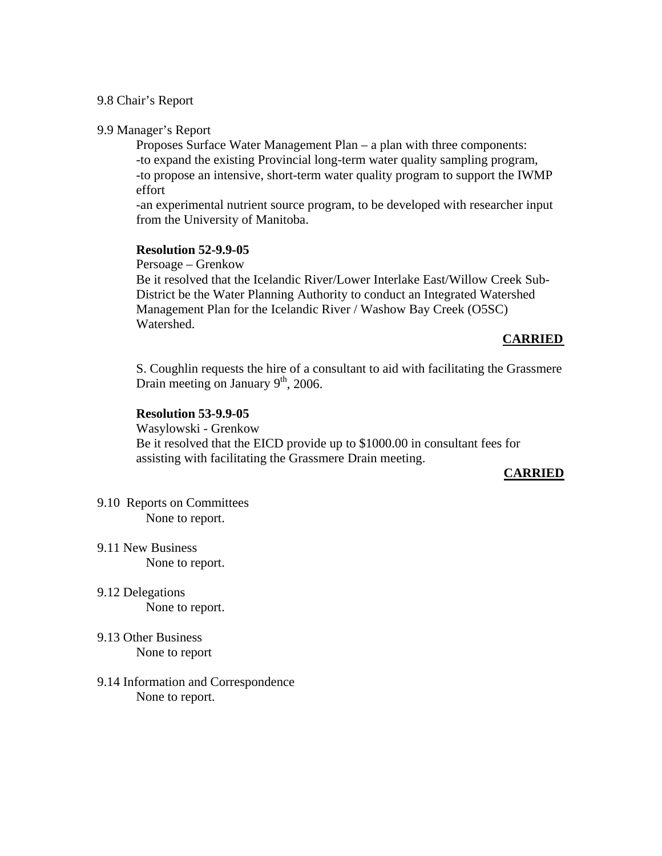# 9.8 Chair's Report

# 9.9 Manager's Report

 Proposes Surface Water Management Plan – a plan with three components: -to expand the existing Provincial long-term water quality sampling program, -to propose an intensive, short-term water quality program to support the IWMP effort

 -an experimental nutrient source program, to be developed with researcher input from the University of Manitoba.

# **Resolution 52-9.9-05**

Persoage – Grenkow

 Be it resolved that the Icelandic River/Lower Interlake East/Willow Creek Sub-District be the Water Planning Authority to conduct an Integrated Watershed Management Plan for the Icelandic River / Washow Bay Creek (O5SC) Watershed.

# **CARRIED**

 S. Coughlin requests the hire of a consultant to aid with facilitating the Grassmere Drain meeting on January  $9<sup>th</sup>$ , 2006.

# **Resolution 53-9.9-05**

 Wasylowski - Grenkow Be it resolved that the EICD provide up to \$1000.00 in consultant fees for assisting with facilitating the Grassmere Drain meeting.

- 9.10 Reports on Committees None to report.
- 9.11 New Business None to report.
- 9.12 Delegations None to report.
- 9.13 Other Business None to report
- 9.14 Information and Correspondence None to report.